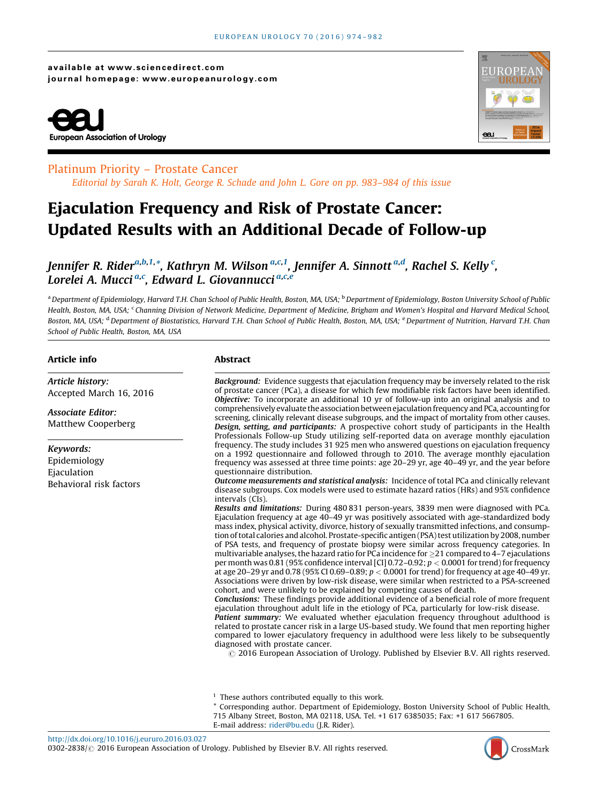available at www.sciencedirect.com journal homepage: www.europeanurology.com





# Platinum Priority – Prostate Cancer Editorial by Sarah K. Holt, George R. Schade and John L. Gore on pp. 983–984 of this issue

# Ejaculation Frequency and Risk of Prostate Cancer: Updated Results with an Additional Decade of Follow-up

Jennifer R. Rider<sup>a,b,1,</sup>\*, Kathryn M. Wilson<sup>a,c,1</sup>, Jennifer A. Sinnott<sup>a,d</sup>, Rachel S. Kelly <sup>c</sup>, Lorelei A. Mucci <sup>a,c</sup>, Edward L. Giovannucci <sup>a,c,e</sup>

<sup>a</sup> Department of Epidemiology, Harvard T.H. Chan School of Public Health, Boston, MA, USA; <sup>b</sup> Department of Epidemiology, Boston University School of Public Health, Boston, MA, USA; <sup>c</sup> Channing Division of Network Medicine, Department of Medicine, Brigham and Women's Hospital and Harvard Medical School, Boston, MA, USA; <sup>d</sup> Department of Biostatistics, Harvard T.H. Chan School of Public Health, Boston, MA, USA; <sup>e</sup> Department of Nutrition, Harvard T.H. Chan School of Public Health, Boston, MA, USA

# Article info

Article history: Accepted March 16, 2016

Associate Editor: Matthew Cooperberg

#### Keywords:

Epidemiology Ejaculation Behavioral risk factors

# Abstract

Background: Evidence suggests that ejaculation frequency may be inversely related to the risk of prostate cancer (PCa), a disease for which few modifiable risk factors have been identified. Objective: To incorporate an additional 10 yr of follow-up into an original analysis and to comprehensively evaluate the association between ejaculation frequency and PCa, accounting for screening, clinically relevant disease subgroups, and the impact of mortality from other causes. Design, setting, and participants: A prospective cohort study of participants in the Health Professionals Follow-up Study utilizing self-reported data on average monthly ejaculation frequency. The study includes 31 925 men who answered questions on ejaculation frequency on a 1992 questionnaire and followed through to 2010. The average monthly ejaculation frequency was assessed at three time points: age 20–29 yr, age 40–49 yr, and the year before questionnaire distribution.

Outcome measurements and statistical analysis: Incidence of total PCa and clinically relevant disease subgroups. Cox models were used to estimate hazard ratios (HRs) and 95% confidence intervals (CIs).

Results and limitations: During 480 831 person-years, 3839 men were diagnosed with PCa. Ejaculation frequency at age 40–49 yr was positively associated with age-standardized body mass index, physical activity, divorce, history of sexually transmitted infections, and consumption of total calories and alcohol. Prostate-specific antigen (PSA) test utilization by 2008, number of PSA tests, and frequency of prostate biopsy were similar across frequency categories. In multivariable analyses, the hazard ratio for PCa incidence for  $\geq$  21 compared to 4–7 ejaculations per month was 0.81 (95% confidence interval [CI] 0.72–0.92; p < 0.0001 for trend) for frequency at age 20–29 yr and 0.78 (95% CI 0.69–0.89;  $p < 0.0001$  for trend) for frequency at age 40–49 yr. Associations were driven by low-risk disease, were similar when restricted to a PSA-screened cohort, and were unlikely to be explained by competing causes of death.

Conclusions: These findings provide additional evidence of a beneficial role of more frequent ejaculation throughout adult life in the etiology of PCa, particularly for low-risk disease.

**Patient summary:** We evaluated whether ejaculation frequency throughout adulthood is related to prostate cancer risk in a large US-based study. We found that men reporting higher compared to lower ejaculatory frequency in adulthood were less likely to be subsequently diagnosed with prostate cancer.

 $\odot$  2016 European Association of Urology. Published by Elsevier B.V. All rights reserved.

Corresponding author. Department of Epidemiology, Boston University School of Public Health,

715 Albany Street, Boston, MA 02118, USA. Tel. +1 617 6385035; Fax: +1 617 5667805. E-mail address: [rider@bu.edu](mailto:rider@bu.edu) (J.R. Rider).



 $1$  These authors contributed equally to this work.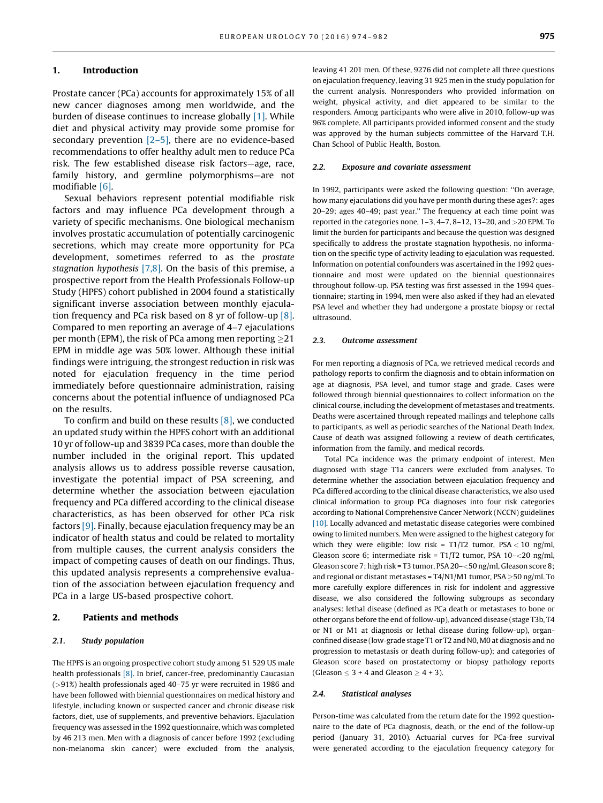# 1. Introduction

Prostate cancer (PCa) accounts for approximately 15% of all new cancer diagnoses among men worldwide, and the burden of disease continues to increase globally [\[1\].](#page-8-0) While diet and physical activity may provide some promise for secondary prevention [\[2–5\],](#page-8-0) there are no evidence-based recommendations to offer healthy adult men to reduce PCa risk. The few established disease risk factors—age, race, family history, and germline polymorphisms—are not modifiable [\[6\].](#page-8-0)

Sexual behaviors represent potential modifiable risk factors and may influence PCa development through a variety of specific mechanisms. One biological mechanism involves prostatic accumulation of potentially carcinogenic secretions, which may create more opportunity for PCa development, sometimes referred to as the prostate stagnation hypothesis [\[7,8\].](#page-8-0) On the basis of this premise, a prospective report from the Health Professionals Follow-up Study (HPFS) cohort published in 2004 found a statistically significant inverse association between monthly ejaculation frequency and PCa risk based on 8 yr of follow-up [\[8\].](#page-8-0) Compared to men reporting an average of 4–7 ejaculations per month (EPM), the risk of PCa among men reporting  ${\geq}21$ EPM in middle age was 50% lower. Although these initial findings were intriguing, the strongest reduction in risk was noted for ejaculation frequency in the time period immediately before questionnaire administration, raising concerns about the potential influence of undiagnosed PCa on the results.

To confirm and build on these results  $[8]$ , we conducted an updated study within the HPFS cohort with an additional 10 yr of follow-up and 3839 PCa cases, more than double the number included in the original report. This updated analysis allows us to address possible reverse causation, investigate the potential impact of PSA screening, and determine whether the association between ejaculation frequency and PCa differed according to the clinical disease characteristics, as has been observed for other PCa risk factors [\[9\].](#page-8-0) Finally, because ejaculation frequency may be an indicator of health status and could be related to mortality from multiple causes, the current analysis considers the impact of competing causes of death on our findings. Thus, this updated analysis represents a comprehensive evaluation of the association between ejaculation frequency and PCa in a large US-based prospective cohort.

#### 2. Patients and methods

#### 2.1. Study population

The HPFS is an ongoing prospective cohort study among 51 529 US male health professionals [\[8\]](#page-8-0). In brief, cancer-free, predominantly Caucasian (>91%) health professionals aged 40–75 yr were recruited in 1986 and have been followed with biennial questionnaires on medical history and lifestyle, including known or suspected cancer and chronic disease risk factors, diet, use of supplements, and preventive behaviors. Ejaculation frequency was assessed in the 1992 questionnaire, which was completed by 46 213 men. Men with a diagnosis of cancer before 1992 (excluding non-melanoma skin cancer) were excluded from the analysis,

leaving 41 201 men. Of these, 9276 did not complete all three questions on ejaculation frequency, leaving 31 925 men in the study population for the current analysis. Nonresponders who provided information on weight, physical activity, and diet appeared to be similar to the responders. Among participants who were alive in 2010, follow-up was 96% complete. All participants provided informed consent and the study was approved by the human subjects committee of the Harvard T.H. Chan School of Public Health, Boston.

#### 2.2. Exposure and covariate assessment

In 1992, participants were asked the following question: ''On average, how many ejaculations did you have per month during these ages?: ages 20–29; ages 40–49; past year.'' The frequency at each time point was reported in the categories none, 1–3, 4–7, 8–12, 13–20, and >20 EPM. To limit the burden for participants and because the question was designed specifically to address the prostate stagnation hypothesis, no information on the specific type of activity leading to ejaculation was requested. Information on potential confounders was ascertained in the 1992 questionnaire and most were updated on the biennial questionnaires throughout follow-up. PSA testing was first assessed in the 1994 questionnaire; starting in 1994, men were also asked if they had an elevated PSA level and whether they had undergone a prostate biopsy or rectal ultrasound.

## 2.3. Outcome assessment

For men reporting a diagnosis of PCa, we retrieved medical records and pathology reports to confirm the diagnosis and to obtain information on age at diagnosis, PSA level, and tumor stage and grade. Cases were followed through biennial questionnaires to collect information on the clinical course, including the development of metastases and treatments. Deaths were ascertained through repeated mailings and telephone calls to participants, as well as periodic searches of the National Death Index. Cause of death was assigned following a review of death certificates, information from the family, and medical records.

Total PCa incidence was the primary endpoint of interest. Men diagnosed with stage T1a cancers were excluded from analyses. To determine whether the association between ejaculation frequency and PCa differed according to the clinical disease characteristics, we also used clinical information to group PCa diagnoses into four risk categories according to National Comprehensive Cancer Network (NCCN) guidelines [\[10\]](#page-8-0). Locally advanced and metastatic disease categories were combined owing to limited numbers. Men were assigned to the highest category for which they were eligible: low risk = T1/T2 tumor,  $PSA < 10$  ng/ml, Gleason score 6; intermediate risk = T1/T2 tumor, PSA 10–<20 ng/ml, Gleason score 7; high risk = T3 tumor, PSA 20–<50 ng/ml, Gleason score 8; and regional or distant metastases = T4/N1/M1 tumor, PSA  $\geq$ 50 ng/ml. To more carefully explore differences in risk for indolent and aggressive disease, we also considered the following subgroups as secondary analyses: lethal disease (defined as PCa death or metastases to bone or other organs before the end of follow-up), advanced disease (stage T3b, T4 or N1 or M1 at diagnosis or lethal disease during follow-up), organconfined disease (low-grade stage T1 or T2 and N0, M0 at diagnosis and no progression to metastasis or death during follow-up); and categories of Gleason score based on prostatectomy or biopsy pathology reports (Gleason  $\leq$  3 + 4 and Gleason  $\geq$  4 + 3).

#### 2.4. Statistical analyses

Person-time was calculated from the return date for the 1992 questionnaire to the date of PCa diagnosis, death, or the end of the follow-up period (January 31, 2010). Actuarial curves for PCa-free survival were generated according to the ejaculation frequency category for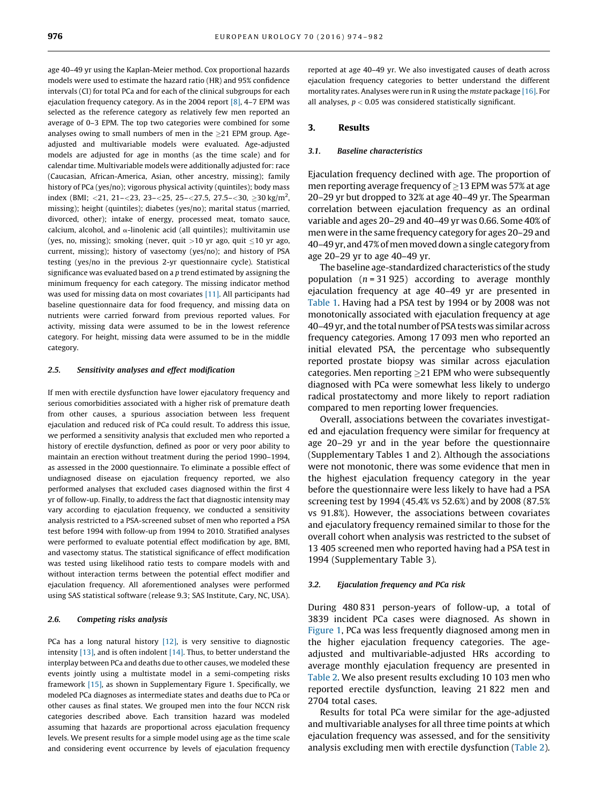age 40–49 yr using the Kaplan-Meier method. Cox proportional hazards models were used to estimate the hazard ratio (HR) and 95% confidence intervals (CI) for total PCa and for each of the clinical subgroups for each ejaculation frequency category. As in the 2004 report [\[8\]](#page-8-0), 4–7 EPM was selected as the reference category as relatively few men reported an average of 0–3 EPM. The top two categories were combined for some analyses owing to small numbers of men in the  $\geq$ 21 EPM group. Ageadjusted and multivariable models were evaluated. Age-adjusted models are adjusted for age in months (as the time scale) and for calendar time. Multivariable models were additionally adjusted for: race (Caucasian, African-America, Asian, other ancestry, missing); family history of PCa (yes/no); vigorous physical activity (quintiles); body mass index (BMI; <21, 21-<23, 23-<25, 25-<27.5, 27.5-<30,  $\geq$ 30 kg/m<sup>2</sup>, missing); height (quintiles); diabetes (yes/no); marital status (married, divorced, other); intake of energy, processed meat, tomato sauce, calcium, alcohol, and  $\alpha$ -linolenic acid (all quintiles); multivitamin use (yes, no, missing); smoking (never, quit  $>10$  yr ago, quit  $\leq 10$  yr ago, current, missing); history of vasectomy (yes/no); and history of PSA testing (yes/no in the previous 2-yr questionnaire cycle). Statistical significance was evaluated based on a  $p$  trend estimated by assigning the minimum frequency for each category. The missing indicator method was used for missing data on most covariates [\[11\]](#page-8-0). All participants had baseline questionnaire data for food frequency, and missing data on nutrients were carried forward from previous reported values. For activity, missing data were assumed to be in the lowest reference category. For height, missing data were assumed to be in the middle category.

#### 2.5. Sensitivity analyses and effect modification

If men with erectile dysfunction have lower ejaculatory frequency and serious comorbidities associated with a higher risk of premature death from other causes, a spurious association between less frequent ejaculation and reduced risk of PCa could result. To address this issue, we performed a sensitivity analysis that excluded men who reported a history of erectile dysfunction, defined as poor or very poor ability to maintain an erection without treatment during the period 1990–1994, as assessed in the 2000 questionnaire. To eliminate a possible effect of undiagnosed disease on ejaculation frequency reported, we also performed analyses that excluded cases diagnosed within the first 4 yr of follow-up. Finally, to address the fact that diagnostic intensity may vary according to ejaculation frequency, we conducted a sensitivity analysis restricted to a PSA-screened subset of men who reported a PSA test before 1994 with follow-up from 1994 to 2010. Stratified analyses were performed to evaluate potential effect modification by age, BMI, and vasectomy status. The statistical significance of effect modification was tested using likelihood ratio tests to compare models with and without interaction terms between the potential effect modifier and ejaculation frequency. All aforementioned analyses were performed using SAS statistical software (release 9.3; SAS Institute, Cary, NC, USA).

#### 2.6. Competing risks analysis

PCa has a long natural history [\[12\]](#page-8-0), is very sensitive to diagnostic intensity [\[13\],](#page-8-0) and is often indolent [\[14\]](#page-8-0). Thus, to better understand the interplay between PCa and deaths due to other causes, we modeled these events jointly using a multistate model in a semi-competing risks framework [\[15\],](#page-8-0) as shown in Supplementary Figure 1. Specifically, we modeled PCa diagnoses as intermediate states and deaths due to PCa or other causes as final states. We grouped men into the four NCCN risk categories described above. Each transition hazard was modeled assuming that hazards are proportional across ejaculation frequency levels. We present results for a simple model using age as the time scale and considering event occurrence by levels of ejaculation frequency reported at age 40–49 yr. We also investigated causes of death across ejaculation frequency categories to better understand the different mortality rates. Analyses were run in R using the mstate package [\[16\].](#page-8-0) For all analyses,  $p < 0.05$  was considered statistically significant.

#### 3. Results

#### 3.1. Baseline characteristics

Ejaculation frequency declined with age. The proportion of men reporting average frequency of  $\geq$  13 EPM was 57% at age 20–29 yr but dropped to 32% at age 40–49 yr. The Spearman correlation between ejaculation frequency as an ordinal variable and ages 20–29 and 40–49 yr was 0.66. Some 40% of men were in the same frequency category for ages 20–29 and 40-49 yr, and 47% of men moved down a single category from age 20–29 yr to age 40–49 yr.

The baseline age-standardized characteristics of the study population  $(n = 31925)$  according to average monthly ejaculation frequency at age 40–49 yr are presented in [Table 1.](#page-3-0) Having had a PSA test by 1994 or by 2008 was not monotonically associated with ejaculation frequency at age 40–49 yr, and the total number of PSA testswas similar across frequency categories. Among 17 093 men who reported an initial elevated PSA, the percentage who subsequently reported prostate biopsy was similar across ejaculation categories. Men reporting  $\geq$  21 EPM who were subsequently diagnosed with PCa were somewhat less likely to undergo radical prostatectomy and more likely to report radiation compared to men reporting lower frequencies.

Overall, associations between the covariates investigated and ejaculation frequency were similar for frequency at age 20–29 yr and in the year before the questionnaire (Supplementary Tables 1 and 2). Although the associations were not monotonic, there was some evidence that men in the highest ejaculation frequency category in the year before the questionnaire were less likely to have had a PSA screening test by 1994 (45.4% vs 52.6%) and by 2008 (87.5% vs 91.8%). However, the associations between covariates and ejaculatory frequency remained similar to those for the overall cohort when analysis was restricted to the subset of 13 405 screened men who reported having had a PSA test in 1994 (Supplementary Table 3).

#### 3.2. Ejaculation frequency and PCa risk

During 480 831 person-years of follow-up, a total of 3839 incident PCa cases were diagnosed. As shown in [Figure 1](#page-4-0), PCa was less frequently diagnosed among men in the higher ejaculation frequency categories. The ageadjusted and multivariable-adjusted HRs according to average monthly ejaculation frequency are presented in [Table 2](#page-5-0). We also present results excluding 10 103 men who reported erectile dysfunction, leaving 21 822 men and 2704 total cases.

Results for total PCa were similar for the age-adjusted and multivariable analyses for all three time points at which ejaculation frequency was assessed, and for the sensitivity analysis excluding men with erectile dysfunction ([Table 2](#page-5-0)).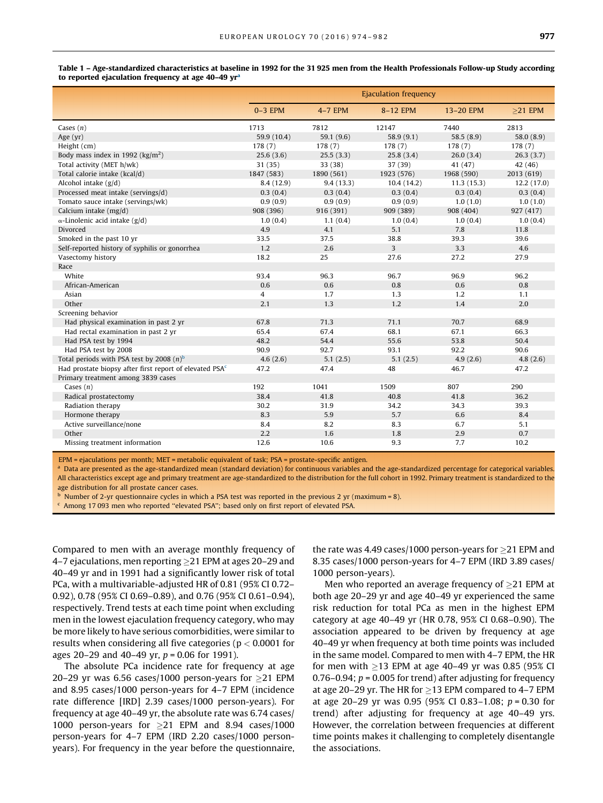|                                                                     | <b>Ejaculation frequency</b> |            |                |            |               |  |  |
|---------------------------------------------------------------------|------------------------------|------------|----------------|------------|---------------|--|--|
|                                                                     | $0-3$ EPM                    | $4-7$ EPM  | 8-12 EPM       | 13-20 EPM  | $\geq$ 21 EPM |  |  |
| Cases $(n)$                                                         | 1713                         | 7812       | 12147          | 7440       | 2813          |  |  |
| Age (yr)                                                            | 59.9 (10.4)                  | 59.1 (9.6) | 58.9(9.1)      | 58.5(8.9)  | 58.0(8.9)     |  |  |
| Height (cm)                                                         | 178 (7)                      | 178 (7)    | 178 (7)        | 178 (7)    | 178 (7)       |  |  |
| Body mass index in 1992 ( $\text{kg/m}^2$ )                         | 25.6(3.6)                    | 25.5(3.3)  | 25.8(3.4)      | 26.0(3.4)  | 26.3(3.7)     |  |  |
| Total activity (MET h/wk)                                           | 31 (35)                      | 33 (38)    | 37 (39)        | 41 (47)    | 42 (46)       |  |  |
| Total calorie intake (kcal/d)                                       | 1847 (583)                   | 1890 (561) | 1923 (576)     | 1968 (590) | 2013 (619)    |  |  |
| Alcohol intake $(g/d)$                                              | 8.4 (12.9)                   | 9.4(13.3)  | 10.4(14.2)     | 11.3(15.3) | 12.2 (17.0)   |  |  |
| Processed meat intake (servings/d)                                  | 0.3(0.4)                     | 0.3(0.4)   | 0.3(0.4)       | 0.3(0.4)   | 0.3(0.4)      |  |  |
| Tomato sauce intake (servings/wk)                                   | 0.9(0.9)                     | 0.9(0.9)   | 0.9(0.9)       | 1.0(1.0)   | 1.0(1.0)      |  |  |
| Calcium intake (mg/d)                                               | 908 (396)                    | 916 (391)  | 909 (389)      | 908 (404)  | 927 (417)     |  |  |
| $\alpha$ -Linolenic acid intake (g/d)                               | 1.0(0.4)                     | 1.1(0.4)   | 1.0(0.4)       | 1.0(0.4)   | 1.0(0.4)      |  |  |
| Divorced                                                            | 4.9                          | 4.1        | 5.1            | 7.8        | 11.8          |  |  |
| Smoked in the past 10 yr                                            | 33.5                         | 37.5       | 38.8           | 39.3       | 39.6          |  |  |
| Self-reported history of syphilis or gonorrhea                      | 1.2                          | 2.6        | $\overline{3}$ | 3.3        | 4.6           |  |  |
| Vasectomy history                                                   | 18.2                         | 25         | 27.6           | 27.2       | 27.9          |  |  |
| Race                                                                |                              |            |                |            |               |  |  |
| White                                                               | 93.4                         | 96.3       | 96.7           | 96.9       | 96.2          |  |  |
| African-American                                                    | 0.6                          | 0.6        | 0.8            | 0.6        | 0.8           |  |  |
| Asian                                                               | $\overline{4}$               | 1.7        | 1.3            | 1.2        | 1.1           |  |  |
| Other                                                               | 2.1                          | 1.3        | 1.2            | 1.4        | 2.0           |  |  |
| Screening behavior                                                  |                              |            |                |            |               |  |  |
| Had physical examination in past 2 yr                               | 67.8                         | 71.3       | 71.1           | 70.7       | 68.9          |  |  |
| Had rectal examination in past 2 yr                                 | 65.4                         | 67.4       | 68.1           | 67.1       | 66.3          |  |  |
| Had PSA test by 1994                                                | 48.2                         | 54.4       | 55.6           | 53.8       | 50.4          |  |  |
| Had PSA test by 2008                                                | 90.9                         | 92.7       | 93.1           | 92.2       | 90.6          |  |  |
| Total periods with PSA test by 2008 $(n)^b$                         | 4.6(2.6)                     | 5.1(2.5)   | 5.1(2.5)       | 4.9(2.6)   | 4.8(2.6)      |  |  |
| Had prostate biopsy after first report of elevated PSA <sup>c</sup> | 47.2                         | 47.4       | 48             | 46.7       | 47.2          |  |  |
| Primary treatment among 3839 cases                                  |                              |            |                |            |               |  |  |
| Cases $(n)$                                                         | 192                          | 1041       | 1509           | 807        | 290           |  |  |
| Radical prostatectomy                                               | 38.4                         | 41.8       | 40.8           | 41.8       | 36.2          |  |  |
| Radiation therapy                                                   | 30.2                         | 31.9       | 34.2           | 34.3       | 39.3          |  |  |
| Hormone therapy                                                     | 8.3                          | 5.9        | 5.7            | 6.6        | 8.4           |  |  |
| Active surveillance/none                                            | 8.4                          | 8.2        | 8.3            | 6.7        | 5.1           |  |  |
| Other                                                               | 2.2                          | 1.6        | 1.8            | 2.9        | 0.7           |  |  |
| Missing treatment information                                       | 12.6                         | 10.6       | 9.3            | 7.7        | 10.2          |  |  |

<span id="page-3-0"></span>Table 1 – Age-standardized characteristics at baseline in 1992 for the 31 925 men from the Health Professionals Follow-up Study according to reported ejaculation frequency at age  $40-49$  yr<sup>a</sup>

EPM = ejaculations per month; MET = metabolic equivalent of task; PSA = prostate-specific antigen.

<sup>a</sup> Data are presented as the age-standardized mean (standard deviation) for continuous variables and the age-standardized percentage for categorical variables. All characteristics except age and primary treatment are age-standardized to the distribution for the full cohort in 1992. Primary treatment is standardized to the age distribution for all prostate cancer cases.

 $<sup>b</sup>$  Number of 2-yr questionnaire cycles in which a PSA test was reported in the previous 2 yr (maximum = 8).</sup>

<sup>c</sup> Among 17 093 men who reported ''elevated PSA''; based only on first report of elevated PSA.

Compared to men with an average monthly frequency of 4–7 ejaculations, men reporting  ${\geq}21$  EPM at ages 20–29 and 40–49 yr and in 1991 had a significantly lower risk of total PCa, with a multivariable-adjusted HR of 0.81 (95% CI 0.72– 0.92), 0.78 (95% CI 0.69–0.89), and 0.76 (95% CI 0.61–0.94), respectively. Trend tests at each time point when excluding men in the lowest ejaculation frequency category, who may be more likely to have serious comorbidities, were similar to results when considering all five categories ( $p < 0.0001$  for ages 20–29 and 40–49 yr,  $p = 0.06$  for 1991).

The absolute PCa incidence rate for frequency at age 20–29 yr was 6.56 cases/1000 person-years for  ${\geq}21$  EPM and 8.95 cases/1000 person-years for 4–7 EPM (incidence rate difference [IRD] 2.39 cases/1000 person-years). For frequency at age 40–49 yr, the absolute rate was 6.74 cases/ 1000 person-years for  $\geq$ 21 EPM and 8.94 cases/1000 person-years for 4–7 EPM (IRD 2.20 cases/1000 personyears). For frequency in the year before the questionnaire,

the rate was 4.49 cases/1000 person-years for  $\geq$ 21 EPM and 8.35 cases/1000 person-years for 4–7 EPM (IRD 3.89 cases/ 1000 person-years).

Men who reported an average frequency of  $\geq$ 21 EPM at both age 20–29 yr and age 40–49 yr experienced the same risk reduction for total PCa as men in the highest EPM category at age 40–49 yr (HR 0.78, 95% CI 0.68–0.90). The association appeared to be driven by frequency at age 40–49 yr when frequency at both time points was included in the same model. Compared to men with 4–7 EPM, the HR for men with  $\geq$ 13 EPM at age 40–49 yr was 0.85 (95% CI 0.76–0.94;  $p = 0.005$  for trend) after adjusting for frequency at age 20–29 yr. The HR for  $\geq$ 13 EPM compared to 4–7 EPM at age 20–29 yr was 0.95 (95% CI 0.83–1.08;  $p = 0.30$  for trend) after adjusting for frequency at age 40–49 yrs. However, the correlation between frequencies at different time points makes it challenging to completely disentangle the associations.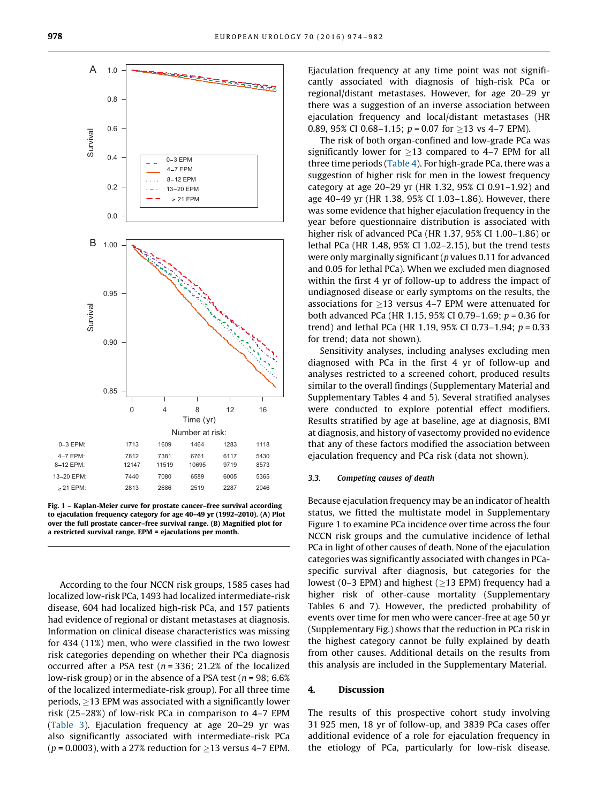<span id="page-4-0"></span>

Fig. 1 – Kaplan-Meier curve for prostate cancer–free survival according to ejaculation frequency category for age 40–49 yr (1992–2010). (A) Plot over the full prostate cancer–free survival range. (B) Magnified plot for a restricted survival range. EPM = ejaculations per month.

According to the four NCCN risk groups, 1585 cases had localized low-risk PCa, 1493 had localized intermediate-risk disease, 604 had localized high-risk PCa, and 157 patients had evidence of regional or distant metastases at diagnosis. Information on clinical disease characteristics was missing for 434 (11%) men, who were classified in the two lowest risk categories depending on whether their PCa diagnosis occurred after a PSA test ( $n = 336$ ; 21.2% of the localized low-risk group) or in the absence of a PSA test ( $n = 98$ ; 6.6% of the localized intermediate-risk group). For all three time periods,  $\geq$ 13 EPM was associated with a significantly lower risk (25–28%) of low-risk PCa in comparison to 4–7 EPM ([Table 3](#page-5-0)). Ejaculation frequency at age 20–29 yr was also significantly associated with intermediate-risk PCa (p = 0.0003), with a 27% reduction for  $\geq$ 13 versus 4–7 EPM.

Ejaculation frequency at any time point was not significantly associated with diagnosis of high-risk PCa or regional/distant metastases. However, for age 20–29 yr there was a suggestion of an inverse association between ejaculation frequency and local/distant metastases (HR 0.89, 95% CI 0.68–1.15;  $p = 0.07$  for  $\geq$ 13 vs 4–7 EPM).

The risk of both organ-confined and low-grade PCa was significantly lower for  $\geq$ 13 compared to 4–7 EPM for all three time periods ([Table 4\)](#page-6-0). For high-grade PCa, there was a suggestion of higher risk for men in the lowest frequency category at age 20–29 yr (HR 1.32, 95% CI 0.91–1.92) and age 40–49 yr (HR 1.38, 95% CI 1.03–1.86). However, there was some evidence that higher ejaculation frequency in the year before questionnaire distribution is associated with higher risk of advanced PCa (HR 1.37, 95% CI 1.00-1.86) or lethal PCa (HR 1.48, 95% CI 1.02–2.15), but the trend tests were only marginally significant ( $p$  values 0.11 for advanced and 0.05 for lethal PCa). When we excluded men diagnosed within the first 4 yr of follow-up to address the impact of undiagnosed disease or early symptoms on the results, the associations for  $\geq$ 13 versus 4–7 EPM were attenuated for both advanced PCa (HR 1.15, 95% CI 0.79–1.69;  $p = 0.36$  for trend) and lethal PCa (HR 1.19, 95% CI 0.73-1.94;  $p = 0.33$ for trend; data not shown).

Sensitivity analyses, including analyses excluding men diagnosed with PCa in the first 4 yr of follow-up and analyses restricted to a screened cohort, produced results similar to the overall findings (Supplementary Material and Supplementary Tables 4 and 5). Several stratified analyses were conducted to explore potential effect modifiers. Results stratified by age at baseline, age at diagnosis, BMI at diagnosis, and history of vasectomy provided no evidence that any of these factors modified the association between ejaculation frequency and PCa risk (data not shown).

#### 3.3. Competing causes of death

Because ejaculation frequency may be an indicator of health status, we fitted the multistate model in Supplementary Figure 1 to examine PCa incidence over time across the four NCCN risk groups and the cumulative incidence of lethal PCa in light of other causes of death. None of the ejaculation categories was significantly associated with changes in PCaspecific survival after diagnosis, but categories for the lowest (0–3 EPM) and highest ( $\geq$ 13 EPM) frequency had a higher risk of other-cause mortality (Supplementary Tables 6 and 7). However, the predicted probability of events over time for men who were cancer-free at age 50 yr (Supplementary Fig.) shows that the reduction in PCa risk in the highest category cannot be fully explained by death from other causes. Additional details on the results from this analysis are included in the Supplementary Material.

#### 4. Discussion

The results of this prospective cohort study involving 31 925 men, 18 yr of follow-up, and 3839 PCa cases offer additional evidence of a role for ejaculation frequency in the etiology of PCa, particularly for low-risk disease.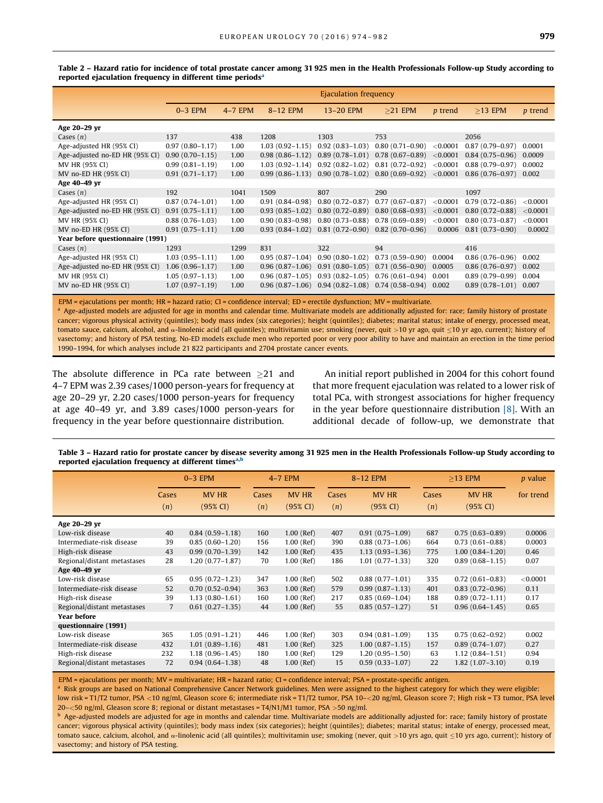|                                  | Ejaculation frequency |           |                                    |                                                       |                     |                |                     |                |
|----------------------------------|-----------------------|-----------|------------------------------------|-------------------------------------------------------|---------------------|----------------|---------------------|----------------|
|                                  | $0-3$ EPM             | $4-7$ EPM | 8-12 EPM                           | 13-20 EPM                                             | $>21$ EPM           | <i>p</i> trend | $>13$ EPM           | <i>p</i> trend |
| Age 20-29 yr                     |                       |           |                                    |                                                       |                     |                |                     |                |
| Cases $(n)$                      | 137                   | 438       | 1208                               | 1303                                                  | 753                 |                | 2056                |                |
| Age-adjusted HR (95% CI)         | $0.97(0.80 - 1.17)$   | 1.00      | $1.03(0.92 - 1.15)$                | $0.92(0.83 - 1.03)$                                   | $0.80(0.71-0.90)$   | ${<}0.0001$    | $0.87(0.79-0.97)$   | 0.0001         |
| Age-adjusted no-ED HR (95% CI)   | $0.90(0.70-1.15)$     | 1.00      | $0.98(0.86-1.12)$                  | $0.89(0.78-1.01)$                                     | $0.78(0.67-0.89)$   | ${<}0.0001$    | $0.84(0.75-0.96)$   | 0.0009         |
| MV HR (95% CI)                   | $0.99(0.81 - 1.19)$   | 1.00      | $1.03(0.92-1.14)$ 0.92 (0.82-1.02) |                                                       | $0.81(0.72-0.92)$   | ${<}0.0001$    | $0.88(0.79-0.97)$   | 0.0002         |
| MV no-ED HR (95% CI)             | $0.91(0.71 - 1.17)$   | 1.00      | $0.99(0.86 - 1.13)$                | $0.90(0.78-1.02)$                                     | $0.80(0.69 - 0.92)$ | ${<}0.0001$    | $0.86(0.76 - 0.97)$ | 0.002          |
| Age 40-49 yr                     |                       |           |                                    |                                                       |                     |                |                     |                |
| Cases $(n)$                      | 192                   | 1041      | 1509                               | 807                                                   | 290                 |                | 1097                |                |
| Age-adjusted HR (95% CI)         | $0.87(0.74 - 1.01)$   | 1.00      | $0.91(0.84 - 0.98)$                | $0.80(0.72 - 0.87)$                                   | $0.77(0.67-0.87)$   | < 0.0001       | $0.79(0.72 - 0.86)$ | < 0.0001       |
| Age-adjusted no-ED HR (95% CI)   | $0.91(0.75 - 1.11)$   | 1.00      | $0.93(0.85-1.02)$                  | $0.80(0.72-0.89)$                                     | $0.80(0.68 - 0.93)$ | ${<}0.0001$    | $0.80(0.72 - 0.88)$ | < 0.0001       |
| MV HR (95% CI)                   | $0.88(0.76 - 1.03)$   | 1.00      | $0.90(0.83 - 0.98)$                | $0.80(0.73-0.88)$                                     | $0.78(0.69-0.89)$   | < 0.0001       | $0.80(0.73 - 0.87)$ | < 0.0001       |
| MV no-ED HR (95% CI)             | $0.91(0.75 - 1.11)$   | 1.00      | $0.93(0.84-1.02)$                  | $0.81(0.72 - 0.90)$                                   | $0.82(0.70-0.96)$   | 0.0006         | $0.81(0.73 - 0.90)$ | 0.0002         |
| Year before questionnaire (1991) |                       |           |                                    |                                                       |                     |                |                     |                |
| Cases $(n)$                      | 1293                  | 1299      | 831                                | 322                                                   | 94                  |                | 416                 |                |
| Age-adjusted HR (95% CI)         | $1.03(0.95 - 1.11)$   | 1.00      | $0.95(0.87-1.04)$                  | $0.90(0.80 - 1.02)$                                   | $0.73(0.59-0.90)$   | 0.0004         | $0.86(0.76-0.96)$   | 0.002          |
| Age-adjusted no-ED HR (95% CI)   | $1.06(0.96 - 1.17)$   | 1.00      | $0.96(0.87 - 1.06)$                | $0.91(0.80-1.05)$                                     | $0.71(0.56 - 0.90)$ | 0.0005         | $0.86(0.76 - 0.97)$ | 0.002          |
| MV HR (95% CI)                   | $1.05(0.97-1.13)$     | 1.00      | $0.96(0.87 - 1.05)$                | $0.93(0.82 - 1.05)$                                   | $0.76(0.61 - 0.94)$ | 0.001          | $0.89(0.79 - 0.99)$ | 0.004          |
| MV no-ED HR (95% CI)             | $1.07(0.97-1.19)$     | 1.00      |                                    | $0.96(0.87-1.06)$ $0.94(0.82-1.08)$ $0.74(0.58-0.94)$ |                     | 0.002          | $0.89(0.78 - 1.01)$ | 0.007          |

<span id="page-5-0"></span>Table 2 – Hazard ratio for incidence of total prostate cancer among 31 925 men in the Health Professionals Follow-up Study according to reported ejaculation frequency in different time periods<sup>a</sup>

EPM = ejaculations per month; HR = hazard ratio; CI = confidence interval; ED = erectile dysfunction; MV = multivariate.

<sup>a</sup> Age-adjusted models are adjusted for age in months and calendar time. Multivariate models are additionally adjusted for: race; family history of prostate cancer; vigorous physical activity (quintiles); body mass index (six categories); height (quintiles); diabetes; marital status; intake of energy, processed meat, tomato sauce, calcium, alcohol, and  $\alpha$ -linolenic acid (all quintiles); multivitamin use; smoking (never, quit >10 yr ago, quit  $\leq$ 10 yr ago, current); history of vasectomy; and history of PSA testing. No-ED models exclude men who reported poor or very poor ability to have and maintain an erection in the time period 1990–1994, for which analyses include 21 822 participants and 2704 prostate cancer events.

The absolute difference in PCa rate between  $\geq$ 21 and 4–7 EPM was 2.39 cases/1000 person-years for frequency at age 20–29 yr, 2.20 cases/1000 person-years for frequency at age 40–49 yr, and 3.89 cases/1000 person-years for frequency in the year before questionnaire distribution.

An initial report published in 2004 for this cohort found that more frequent ejaculation was related to a lower risk of total PCa, with strongest associations for higher frequency in the year before questionnaire distribution  $[8]$ . With an additional decade of follow-up, we demonstrate that

| Table 3 – Hazard ratio for prostate cancer by disease severity among 31 925 men in the Health Professionals Follow-up Study according to |  |
|------------------------------------------------------------------------------------------------------------------------------------------|--|
| reported ejaculation frequency at different times <sup>a,b</sup>                                                                         |  |

|                             | $0-3$ EPM      |                     | $4-7$ EPM |              | 8-12 EPM |                     | $>13$ EPM |                     | <i>p</i> value |
|-----------------------------|----------------|---------------------|-----------|--------------|----------|---------------------|-----------|---------------------|----------------|
|                             | Cases          | <b>MV HR</b>        | Cases     | <b>MV HR</b> | Cases    | <b>MV HR</b>        | Cases     | <b>MV HR</b>        | for trend      |
|                             | (n)            | (95% CI)            | (n)       | (95% CI)     | (n)      | (95% CI)            | (n)       | (95% CI)            |                |
| Age 20-29 yr                |                |                     |           |              |          |                     |           |                     |                |
| Low-risk disease            | 40             | $0.84(0.59 - 1.18)$ | 160       | $1.00$ (Ref) | 407      | $0.91(0.75-1.09)$   | 687       | $0.75(0.63 - 0.89)$ | 0.0006         |
| Intermediate-risk disease   | 39             | $0.85(0.60 - 1.20)$ | 156       | $1.00$ (Ref) | 390      | $0.88(0.73 - 1.06)$ | 664       | $0.73(0.61 - 0.88)$ | 0.0003         |
| High-risk disease           | 43             | $0.99(0.70-1.39)$   | 142       | $1.00$ (Ref) | 435      | $1.13(0.93 - 1.36)$ | 775       | $1.00(0.84 - 1.20)$ | 0.46           |
| Regional/distant metastases | 28             | $1.20(0.77 - 1.87)$ | 70        | $1.00$ (Ref) | 186      | $1.01(0.77 - 1.33)$ | 320       | $0.89(0.68 - 1.15)$ | 0.07           |
| Age 40-49 vr                |                |                     |           |              |          |                     |           |                     |                |
| Low-risk disease            | 65             | $0.95(0.72 - 1.23)$ | 347       | $1.00$ (Ref) | 502      | $0.88(0.77-1.01)$   | 335       | $0.72(0.61 - 0.83)$ | < 0.0001       |
| Intermediate-risk disease   | 52             | $0.70(0.52 - 0.94)$ | 363       | $1.00$ (Ref) | 579      | $0.99(0.87 - 1.13)$ | 401       | $0.83(0.72 - 0.96)$ | 0.11           |
| High-risk disease           | 39             | $1.13(0.80 - 1.61)$ | 160       | $1.00$ (Ref) | 217      | $0.85(0.69 - 1.04)$ | 188       | $0.89(0.72 - 1.11)$ | 0.17           |
| Regional/distant metastases | $\overline{7}$ | $0.61(0.27-1.35)$   | 44        | $1.00$ (Ref) | 55       | $0.85(0.57-1.27)$   | 51        | $0.96(0.64 - 1.45)$ | 0.65           |
| <b>Year before</b>          |                |                     |           |              |          |                     |           |                     |                |
| questionnaire (1991)        |                |                     |           |              |          |                     |           |                     |                |
| Low-risk disease            | 365            | $1.05(0.91 - 1.21)$ | 446       | $1.00$ (Ref) | 303      | $0.94(0.81 - 1.09)$ | 135       | $0.75(0.62 - 0.92)$ | 0.002          |
| Intermediate-risk disease   | 432            | $1.01(0.89 - 1.16)$ | 481       | $1.00$ (Ref) | 325      | $1.00(0.87 - 1.15)$ | 157       | $0.89(0.74 - 1.07)$ | 0.27           |
| High-risk disease           | 232            | $1.18(0.96 - 1.45)$ | 180       | $1.00$ (Ref) | 129      | $1.20(0.95-1.50)$   | 63        | $1.12(0.84 - 1.51)$ | 0.94           |
| Regional/distant metastases | 72             | $0.94(0.64 - 1.38)$ | 48        | $1.00$ (Ref) | 15       | $0.59(0.33 - 1.07)$ | 22        | $1.82(1.07-3.10)$   | 0.19           |

EPM = ejaculations per month; MV = multivariate; HR = hazard ratio; CI = confidence interval; PSA = prostate-specific antigen.

<sup>a</sup> Risk groups are based on National Comprehensive Cancer Network guidelines. Men were assigned to the highest category for which they were eligible: low risk = T1/T2 tumor, PSA <10 ng/ml, Gleason score 6; intermediate risk = T1/T2 tumor, PSA 10–<20 ng/ml, Gleason score 7; High risk = T3 tumor, PSA level 20–<50 ng/ml, Gleason score 8; regional or distant metastases = T4/N1/M1 tumor, PSA >50 ng/ml.

<sup>b</sup> Age-adjusted models are adjusted for age in months and calendar time. Multivariate models are additionally adjusted for: race; family history of prostate cancer; vigorous physical activity (quintiles); body mass index (six categories); height (quintiles); diabetes; marital status; intake of energy, processed meat, tomato sauce, calcium, alcohol, and  $\alpha$ -linolenic acid (all quintiles); multivitamin use; smoking (never, quit >10 yrs ago, quit  $\leq$ 10 yrs ago, current); history of vasectomy; and history of PSA testing.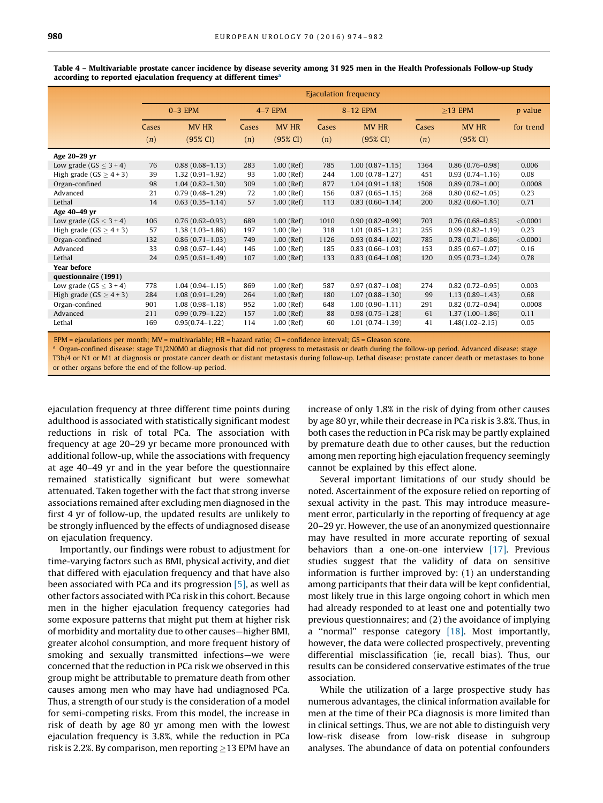|                                | Ejaculation frequency |                     |           |              |          |                     |           |                     |                |
|--------------------------------|-----------------------|---------------------|-----------|--------------|----------|---------------------|-----------|---------------------|----------------|
|                                | $0-3$ EPM             |                     | $4-7$ EPM |              | 8-12 EPM |                     | $>13$ EPM |                     | <i>p</i> value |
|                                | Cases                 | <b>MV HR</b>        | Cases     | <b>MV HR</b> | Cases    | <b>MV HR</b>        | Cases     | <b>MV HR</b>        | for trend      |
|                                | (n)                   | (95% CI)            | (n)       | (95% CI)     | (n)      | (95% CI)            | (n)       | (95% CI)            |                |
| Age 20-29 yr                   |                       |                     |           |              |          |                     |           |                     |                |
| Low grade ( $GS \leq 3 + 4$ )  | 76                    | $0.88(0.68 - 1.13)$ | 283       | $1.00$ (Ref) | 785      | $1.00(0.87 - 1.15)$ | 1364      | $0.86(0.76 - 0.98)$ | 0.006          |
| High grade ( $GS \geq 4 + 3$ ) | 39                    | $1.32(0.91-1.92)$   | 93        | $1.00$ (Ref) | 244      | $1.00(0.78 - 1.27)$ | 451       | $0.93(0.74 - 1.16)$ | 0.08           |
| Organ-confined                 | 98                    | $1.04(0.82 - 1.30)$ | 309       | $1.00$ (Ref) | 877      | $1.04(0.91 - 1.18)$ | 1508      | $0.89(0.78 - 1.00)$ | 0.0008         |
| Advanced                       | 21                    | $0.79(0.48 - 1.29)$ | 72        | $1.00$ (Ref) | 156      | $0.87(0.65 - 1.15)$ | 268       | $0.80(0.62 - 1.05)$ | 0.23           |
| Lethal                         | 14                    | $0.63(0.35-1.14)$   | 57        | $1.00$ (Ref) | 113      | $0.83(0.60 - 1.14)$ | 200       | $0.82(0.60 - 1.10)$ | 0.71           |
| Age 40-49 yr                   |                       |                     |           |              |          |                     |           |                     |                |
| Low grade ( $GS \leq 3 + 4$ )  | 106                   | $0.76(0.62 - 0.93)$ | 689       | $1.00$ (Ref) | 1010     | $0.90(0.82 - 0.99)$ | 703       | $0.76(0.68 - 0.85)$ | < 0.0001       |
| High grade ( $GS \geq 4 + 3$ ) | 57                    | $1.38(1.03 - 1.86)$ | 197       | $1.00$ (Re)  | 318      | $1.01(0.85 - 1.21)$ | 255       | $0.99(0.82 - 1.19)$ | 0.23           |
| Organ-confined                 | 132                   | $0.86(0.71-1.03)$   | 749       | $1.00$ (Ref) | 1126     | $0.93(0.84 - 1.02)$ | 785       | $0.78(0.71 - 0.86)$ | < 0.0001       |
| Advanced                       | 33                    | $0.98(0.67 - 1.44)$ | 146       | $1.00$ (Ref) | 185      | $0.83(0.66 - 1.03)$ | 153       | $0.85(0.67 - 1.07)$ | 0.16           |
| Lethal                         | 24                    | $0.95(0.61 - 1.49)$ | 107       | $1.00$ (Ref) | 133      | $0.83(0.64 - 1.08)$ | 120       | $0.95(0.73 - 1.24)$ | 0.78           |
| <b>Year before</b>             |                       |                     |           |              |          |                     |           |                     |                |
| questionnaire (1991)           |                       |                     |           |              |          |                     |           |                     |                |
| Low grade ( $GS \leq 3 + 4$ )  | 778                   | $1.04(0.94 - 1.15)$ | 869       | $1.00$ (Ref) | 587      | $0.97(0.87 - 1.08)$ | 274       | $0.82(0.72 - 0.95)$ | 0.003          |
| High grade ( $GS \geq 4 + 3$ ) | 284                   | $1.08(0.91 - 1.29)$ | 264       | $1.00$ (Ref) | 180      | $1.07(0.88 - 1.30)$ | 99        | $1.13(0.89 - 1.43)$ | 0.68           |
| Organ-confined                 | 901                   | $1.08(0.98 - 1.18)$ | 952       | $1.00$ (Ref) | 648      | $1.00(0.90 - 1.11)$ | 291       | $0.82(0.72 - 0.94)$ | 0.0008         |
| Advanced                       | 211                   | $0.99(0.79 - 1.22)$ | 157       | $1.00$ (Ref) | 88       | $0.98(0.75 - 1.28)$ | 61        | $1.37(1.00-1.86)$   | 0.11           |
| Lethal                         | 169                   | $0.95(0.74 - 1.22)$ | 114       | $1.00$ (Ref) | 60       | $1.01(0.74-1.39)$   | 41        | $1.48(1.02 - 2.15)$ | 0.05           |

<span id="page-6-0"></span>Table 4 – Multivariable prostate cancer incidence by disease severity among 31 925 men in the Health Professionals Follow-up Study according to reported ejaculation frequency at different times<sup>a</sup>

EPM = ejaculations per month; MV = multivariable; HR = hazard ratio; CI = confidence interval; GS = Gleason score.

a Organ-confined disease: stage T1/2N0M0 at diagnosis that did not progress to metastasis or death during the follow-up period. Advanced disease: stage T3b/4 or N1 or M1 at diagnosis or prostate cancer death or distant metastasis during follow-up. Lethal disease: prostate cancer death or metastases to bone or other organs before the end of the follow-up period.

ejaculation frequency at three different time points during adulthood is associated with statistically significant modest reductions in risk of total PCa. The association with frequency at age 20–29 yr became more pronounced with additional follow-up, while the associations with frequency at age 40–49 yr and in the year before the questionnaire remained statistically significant but were somewhat attenuated. Taken together with the fact that strong inverse associations remained after excluding men diagnosed in the first 4 yr of follow-up, the updated results are unlikely to be strongly influenced by the effects of undiagnosed disease on ejaculation frequency.

Importantly, our findings were robust to adjustment for time-varying factors such as BMI, physical activity, and diet that differed with ejaculation frequency and that have also been associated with PCa and its progression [\[5\],](#page-8-0) as well as other factors associated with PCa risk in this cohort. Because men in the higher ejaculation frequency categories had some exposure patterns that might put them at higher risk of morbidity and mortality due to other causes—higher BMI, greater alcohol consumption, and more frequent history of smoking and sexually transmitted infections—we were concerned that the reduction in PCa risk we observed in this group might be attributable to premature death from other causes among men who may have had undiagnosed PCa. Thus, a strength of our study is the consideration of a model for semi-competing risks. From this model, the increase in risk of death by age 80 yr among men with the lowest ejaculation frequency is 3.8%, while the reduction in PCa risk is 2.2%. By comparison, men reporting  $\geq$ 13 EPM have an

increase of only 1.8% in the risk of dying from other causes by age 80 yr, while their decrease in PCa risk is 3.8%. Thus, in both cases the reduction in PCa risk may be partly explained by premature death due to other causes, but the reduction among men reporting high ejaculation frequency seemingly cannot be explained by this effect alone.

Several important limitations of our study should be noted. Ascertainment of the exposure relied on reporting of sexual activity in the past. This may introduce measurement error, particularly in the reporting of frequency at age 20–29 yr. However, the use of an anonymized questionnaire may have resulted in more accurate reporting of sexual behaviors than a one-on-one interview [\[17\]](#page-8-0). Previous studies suggest that the validity of data on sensitive information is further improved by: (1) an understanding among participants that their data will be kept confidential, most likely true in this large ongoing cohort in which men had already responded to at least one and potentially two previous questionnaires; and (2) the avoidance of implying a ''normal'' response category [\[18\]](#page-8-0). Most importantly, however, the data were collected prospectively, preventing differential misclassification (ie, recall bias). Thus, our results can be considered conservative estimates of the true association.

While the utilization of a large prospective study has numerous advantages, the clinical information available for men at the time of their PCa diagnosis is more limited than in clinical settings. Thus, we are not able to distinguish very low-risk disease from low-risk disease in subgroup analyses. The abundance of data on potential confounders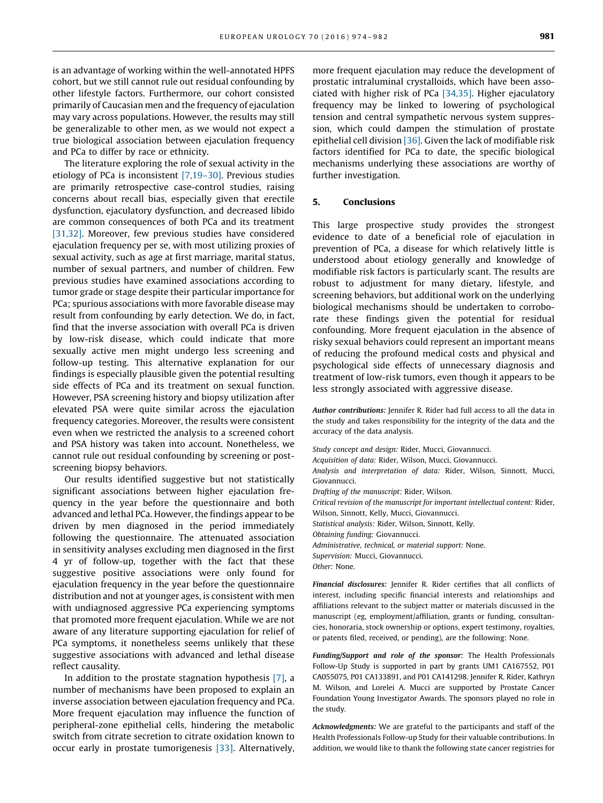is an advantage of working within the well-annotated HPFS cohort, but we still cannot rule out residual confounding by other lifestyle factors. Furthermore, our cohort consisted primarily of Caucasian men and the frequency of ejaculation may vary across populations. However, the results may still be generalizable to other men, as we would not expect a true biological association between ejaculation frequency and PCa to differ by race or ethnicity.

The literature exploring the role of sexual activity in the etiology of PCa is inconsistent [\[7,19–30\].](#page-8-0) Previous studies are primarily retrospective case-control studies, raising concerns about recall bias, especially given that erectile dysfunction, ejaculatory dysfunction, and decreased libido are common consequences of both PCa and its treatment [\[31,32\].](#page-8-0) Moreover, few previous studies have considered ejaculation frequency per se, with most utilizing proxies of sexual activity, such as age at first marriage, marital status, number of sexual partners, and number of children. Few previous studies have examined associations according to tumor grade or stage despite their particular importance for PCa; spurious associations with more favorable disease may result from confounding by early detection. We do, in fact, find that the inverse association with overall PCa is driven by low-risk disease, which could indicate that more sexually active men might undergo less screening and follow-up testing. This alternative explanation for our findings is especially plausible given the potential resulting side effects of PCa and its treatment on sexual function. However, PSA screening history and biopsy utilization after elevated PSA were quite similar across the ejaculation frequency categories. Moreover, the results were consistent even when we restricted the analysis to a screened cohort and PSA history was taken into account. Nonetheless, we cannot rule out residual confounding by screening or postscreening biopsy behaviors.

Our results identified suggestive but not statistically significant associations between higher ejaculation frequency in the year before the questionnaire and both advanced and lethal PCa. However, the findings appear to be driven by men diagnosed in the period immediately following the questionnaire. The attenuated association in sensitivity analyses excluding men diagnosed in the first 4 yr of follow-up, together with the fact that these suggestive positive associations were only found for ejaculation frequency in the year before the questionnaire distribution and not at younger ages, is consistent with men with undiagnosed aggressive PCa experiencing symptoms that promoted more frequent ejaculation. While we are not aware of any literature supporting ejaculation for relief of PCa symptoms, it nonetheless seems unlikely that these suggestive associations with advanced and lethal disease reflect causality.

In addition to the prostate stagnation hypothesis [\[7\]](#page-8-0), a number of mechanisms have been proposed to explain an inverse association between ejaculation frequency and PCa. More frequent ejaculation may influence the function of peripheral-zone epithelial cells, hindering the metabolic switch from citrate secretion to citrate oxidation known to occur early in prostate tumorigenesis [\[33\]](#page-8-0). Alternatively,

more frequent ejaculation may reduce the development of prostatic intraluminal crystalloids, which have been associated with higher risk of PCa [\[34,35\]](#page-8-0). Higher ejaculatory frequency may be linked to lowering of psychological tension and central sympathetic nervous system suppression, which could dampen the stimulation of prostate epithelial cell division [\[36\].](#page-8-0) Given the lack of modifiable risk factors identified for PCa to date, the specific biological mechanisms underlying these associations are worthy of further investigation.

## 5. Conclusions

This large prospective study provides the strongest evidence to date of a beneficial role of ejaculation in prevention of PCa, a disease for which relatively little is understood about etiology generally and knowledge of modifiable risk factors is particularly scant. The results are robust to adjustment for many dietary, lifestyle, and screening behaviors, but additional work on the underlying biological mechanisms should be undertaken to corroborate these findings given the potential for residual confounding. More frequent ejaculation in the absence of risky sexual behaviors could represent an important means of reducing the profound medical costs and physical and psychological side effects of unnecessary diagnosis and treatment of low-risk tumors, even though it appears to be less strongly associated with aggressive disease.

Author contributions: Jennifer R. Rider had full access to all the data in the study and takes responsibility for the integrity of the data and the accuracy of the data analysis.

Study concept and design: Rider, Mucci, Giovannucci. Acquisition of data: Rider, Wilson, Mucci, Giovannucci. Analysis and interpretation of data: Rider, Wilson, Sinnott, Mucci, Giovannucci. Drafting of the manuscript: Rider, Wilson. Critical revision of the manuscript for important intellectual content: Rider, Wilson, Sinnott, Kelly, Mucci, Giovannucci. Statistical analysis: Rider, Wilson, Sinnott, Kelly. Obtaining funding: Giovannucci. Administrative, technical, or material support: None. Supervision: Mucci, Giovannucci. Other: None.

Financial disclosures: Jennifer R. Rider certifies that all conflicts of interest, including specific financial interests and relationships and affiliations relevant to the subject matter or materials discussed in the manuscript (eg, employment/affiliation, grants or funding, consultancies, honoraria, stock ownership or options, expert testimony, royalties, or patents filed, received, or pending), are the following: None.

Funding/Support and role of the sponsor: The Health Professionals Follow-Up Study is supported in part by grants UM1 CA167552, P01 CA055075, P01 CA133891, and P01 CA141298. Jennifer R. Rider, Kathryn M. Wilson, and Lorelei A. Mucci are supported by Prostate Cancer Foundation Young Investigator Awards. The sponsors played no role in the study.

Acknowledgments: We are grateful to the participants and staff of the Health Professionals Follow-up Study for their valuable contributions. In addition, we would like to thank the following state cancer registries for